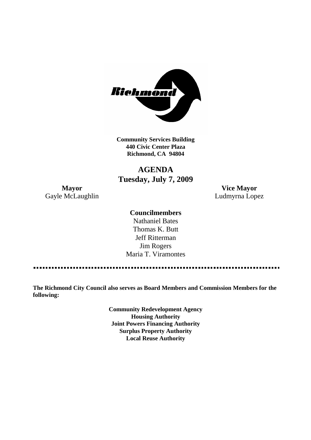

**Community Services Building 440 Civic Center Plaza Richmond, CA 94804**

# **AGENDA Tuesday, July 7, 2009**

Gayle McLaughlin **Ludmyrna Lopez** 

**Mayor Vice Mayor**

# **Councilmembers**

Nathaniel Bates Thomas K. Butt Jeff Ritterman Jim Rogers Maria T. Viramontes

**The Richmond City Council also serves as Board Members and Commission Members for the following:**

> **Community Redevelopment Agency Housing Authority Joint Powers Financing Authority Surplus Property Authority Local Reuse Authority**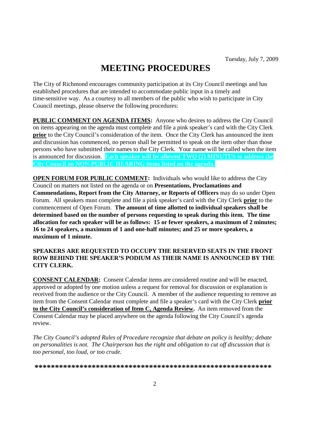# **MEETING PROCEDURES**

The City of Richmond encourages community participation at its City Council meetings and has established procedures that are intended to accommodate public input in a timely and time-sensitive way. As a courtesy to all members of the public who wish to participate in City Council meetings, please observe the following procedures:

**PUBLIC COMMENT ON AGENDA ITEMS:** Anyone who desires to address the City Council on items appearing on the agenda must complete and file a pink speaker's card with the City Clerk **prior** to the City Council's consideration of the item. Once the City Clerk has announced the item and discussion has commenced, no person shall be permitted to speak on the item other than those persons who have submitted their names to the City Clerk. Your name will be called when the item is announced for discussion. **Each speaker will be allowed TWO (2) MINUTES to address the City Council on NON-PUBLIC HEARING items listed on the agenda.**

**OPEN FORUM FOR PUBLIC COMMENT:** Individuals who would like to address the City Council on matters not listed on the agenda or on **Presentations, Proclamations and Commendations, Report from the City Attorney, or Reports of Officers** may do so under Open Forum. All speakers must complete and file a pink speaker's card with the City Clerk **prior** to the commencement of Open Forum. **The amount of time allotted to individual speakers shall be determined based on the number of persons requesting to speak during this item. The time allocation for each speaker will be as follows: 15 or fewer speakers, a maximum of 2 minutes; 16 to 24 speakers, a maximum of 1 and one-half minutes; and 25 or more speakers, a maximum of 1 minute.**

### **SPEAKERS ARE REQUESTED TO OCCUPY THE RESERVED SEATS IN THE FRONT ROW BEHIND THE SPEAKER'S PODIUM AS THEIR NAME IS ANNOUNCED BY THE CITY CLERK.**

**CONSENT CALENDAR:** Consent Calendar items are considered routine and will be enacted, approved or adopted by one motion unless a request for removal for discussion or explanation is received from the audience or the City Council. A member of the audience requesting to remove an item from the Consent Calendar must complete and file a speaker's card with the City Clerk **prior to the City Council's consideration of Item C, Agenda Review.** An item removed from the Consent Calendar may be placed anywhere on the agenda following the City Council's agenda review.

*The City Council's adopted Rules of Procedure recognize that debate on policy is healthy; debate on personalities is not. The Chairperson has the right and obligation to cut off discussion that is too personal, too loud, or too crude.*

**\*\*\*\*\*\*\*\*\*\*\*\*\*\*\*\*\*\*\*\*\*\*\*\*\*\*\*\*\*\*\*\*\*\*\*\*\*\*\*\*\*\*\*\*\*\*\*\*\*\*\*\*\*\*\*\*\*\***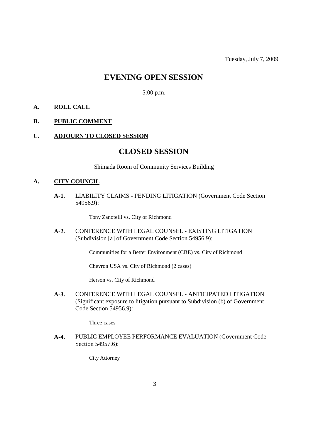# **EVENING OPEN SESSION**

5:00 p.m.

### **A. ROLL CALL**

### **B. PUBLIC COMMENT**

#### **C. ADJOURN TO CLOSED SESSION**

# **CLOSED SESSION**

Shimada Room of Community Services Building

#### **A. CITY COUNCIL**

**A-1.** LIABILITY CLAIMS - PENDING LITIGATION (Government Code Section 54956.9):

Tony Zanotelli vs. City of Richmond

**A-2.** CONFERENCE WITH LEGAL COUNSEL - EXISTING LITIGATION (Subdivision [a] of Government Code Section 54956.9):

Communities for a Better Environment (CBE) vs. City of Richmond

Chevron USA vs. City of Richmond (2 cases)

Herson vs. City of Richmond

**A-3.** CONFERENCE WITH LEGAL COUNSEL - ANTICIPATED LITIGATION (Significant exposure to litigation pursuant to Subdivision (b) of Government Code Section 54956.9):

Three cases

**A-4.** PUBLIC EMPLOYEE PERFORMANCE EVALUATION (Government Code Section 54957.6):

City Attorney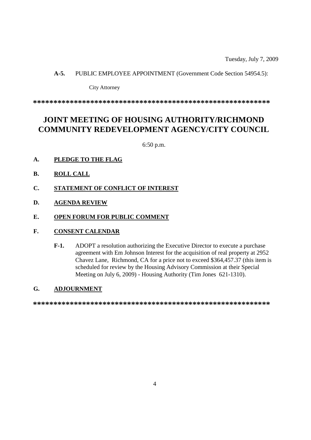Tuesday, July 7, 2009

#### **A-5.** PUBLIC EMPLOYEE APPOINTMENT (Government Code Section 54954.5):

#### City Attorney

**\*\*\*\*\*\*\*\*\*\*\*\*\*\*\*\*\*\*\*\*\*\*\*\*\*\*\*\*\*\*\*\*\*\*\*\*\*\*\*\*\*\*\*\*\*\*\*\*\*\*\*\*\*\*\*\*\*\***

# **JOINT MEETING OF HOUSING AUTHORITY/RICHMOND COMMUNITY REDEVELOPMENT AGENCY/CITY COUNCIL**

6:50 p.m.

- **A. PLEDGE TO THE FLAG**
- **B. ROLL CALL**
- **C. STATEMENT OF CONFLICT OF INTEREST**
- **D. AGENDA REVIEW**
- **E. OPEN FORUM FOR PUBLIC COMMENT**

# **F. CONSENT CALENDAR**

**F-1.** ADOPT a resolution authorizing the Executive Director to execute a purchase agreement with Em Johnson Interest for the acquisition of real property at 2952 Chavez Lane, Richmond, CA for a price not to exceed \$364,457.37 (this item is scheduled for review by the Housing Advisory Commission at their Special Meeting on July 6, 2009) - Housing Authority (Tim Jones 621-1310).

# **G. ADJOURNMENT**

**\*\*\*\*\*\*\*\*\*\*\*\*\*\*\*\*\*\*\*\*\*\*\*\*\*\*\*\*\*\*\*\*\*\*\*\*\*\*\*\*\*\*\*\*\*\*\*\*\*\*\*\*\*\*\*\*\*\***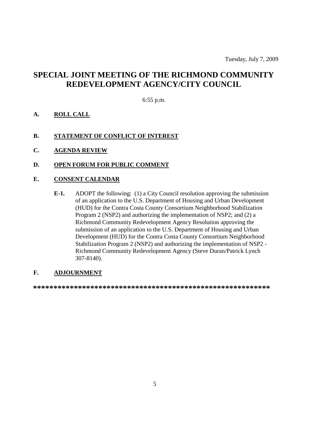# **SPECIAL JOINT MEETING OF THE RICHMOND COMMUNITY REDEVELOPMENT AGENCY/CITY COUNCIL**

6:55 p.m.

- **A. ROLL CALL**
- **B. STATEMENT OF CONFLICT OF INTEREST**
- **C. AGENDA REVIEW**
- **D. OPEN FORUM FOR PUBLIC COMMENT**

# **E. CONSENT CALENDAR**

**E-1.** ADOPT the following: (1) a City Council resolution approving the submission of an application to the U.S. Department of Housing and Urban Development (HUD) for the Contra Costa County Consortium Neighborhood Stabilization Program 2 (NSP2) and authorizing the implementation of NSP2; and (2) a Richmond Community Redevelopment Agency Resolution approving the submission of an application to the U.S. Department of Housing and Urban Development (HUD) for the Contra Costa County Consortium Neighborhood Stabilization Program 2 (NSP2) and authorizing the implementation of NSP2 - Richmond Community Redevelopment Agency (Steve Duran/Patrick Lynch 307-8140).

# **F. ADJOURNMENT**

**\*\*\*\*\*\*\*\*\*\*\*\*\*\*\*\*\*\*\*\*\*\*\*\*\*\*\*\*\*\*\*\*\*\*\*\*\*\*\*\*\*\*\*\*\*\*\*\*\*\*\*\*\*\*\*\*\*\***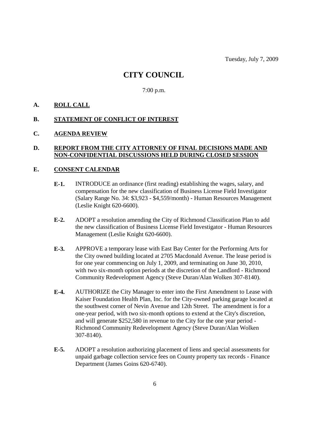# **CITY COUNCIL**

7:00 p.m.

### **A. ROLL CALL**

#### **B. STATEMENT OF CONFLICT OF INTEREST**

#### **C. AGENDA REVIEW**

# **D. REPORT FROM THE CITY ATTORNEY OF FINAL DECISIONS MADE AND NON-CONFIDENTIAL DISCUSSIONS HELD DURING CLOSED SESSION**

### **E. CONSENT CALENDAR**

- **E-1.** INTRODUCE an ordinance (first reading) establishing the wages, salary, and compensation for the new classification of Business License Field Investigator (Salary Range No. 34: \$3,923 - \$4,559/month) - Human Resources Management (Leslie Knight 620-6600).
- **E-2.** ADOPT a resolution amending the City of Richmond Classification Plan to add the new classification of Business License Field Investigator - Human Resources Management (Leslie Knight 620-6600).
- **E-3.** APPROVE a temporary lease with East Bay Center for the Performing Arts for the City owned building located at 2705 Macdonald Avenue. The lease period is for one year commencing on July 1, 2009, and terminating on June 30, 2010, with two six-month option periods at the discretion of the Landlord - Richmond Community Redevelopment Agency (Steve Duran/Alan Wolken 307-8140).
- **E-4.** AUTHORIZE the City Manager to enter into the First Amendment to Lease with Kaiser Foundation Health Plan, Inc. for the City-owned parking garage located at the southwest corner of Nevin Avenue and 12th Street. The amendment is for a one-year period, with two six-month options to extend at the City's discretion, and will generate \$252,580 in revenue to the City for the one year period - Richmond Community Redevelopment Agency (Steve Duran/Alan Wolken 307-8140).
- **E-5.** ADOPT a resolution authorizing placement of liens and special assessments for unpaid garbage collection service fees on County property tax records - Finance Department (James Goins 620-6740).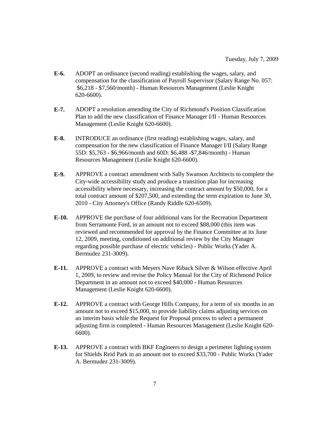- **E-6.** ADOPT an ordinance (second reading) establishing the wages, salary, and compensation for the classification of Payroll Supervisor (Salary Range No. 057: \$6,218 - \$7,560/month) - Human Resources Management (Leslie Knight 620-6600).
- **E-7.** ADOPT a resolution amending the City of Richmond's Position Classification Plan to add the new classification of Finance Manager I/II - Human Resources Management (Leslie Knight 620-6600).
- **E-8.** INTRODUCE an ordinance (first reading) establishing wages, salary, and compensation for the new classification of Finance Manager I/II (Salary Range 55D: \$5,763 - \$6,966/month and 60D: \$6,488 -\$7,846/month) - Human Resources Management (Leslie Knight 620-6600).
- **E-9.** APPROVE a contract amendment with Sally Swanson Architects to complete the City-wide accessibility study and produce a transition plan for increasing accessibility where necessary, increasing the contract amount by \$50,000, for a total contract amount of \$207,500, and extending the term expiration to June 30, 2010 - City Attorney's Office (Randy Riddle 620-6509).
- **E-10.** APPROVE the purchase of four additional vans for the Recreation Department from Serramonte Ford, in an amount not to exceed \$88,000 (this item was reviewed and recommended for approval by the Finance Committee at its June 12, 2009, meeting, conditioned on additional review by the City Manager regarding possible purchase of electric vehicles) - Public Works (Yader A. Bermudez 231-3009).
- **E-11.** APPROVE a contract with Meyers Nave Riback Silver & Wilson effective April 1, 2009, to review and revise the Policy Manual for the City of Richmond Police Department in an amount not to exceed \$40,000 - Human Resources Management (Leslie Knight 620-6600).
- **E-12.** APPROVE a contract with George Hills Company, for a term of six months in an amount not to exceed \$15,000, to provide liability claims adjusting services on an interim basis while the Request for Proposal process to select a permanent adjusting firm is completed - Human Resources Management (Leslie Knight 620- 6600).
- **E-13.** APPROVE a contract with BKF Engineers to design a perimeter lighting system for Shields Reid Park in an amount not to exceed \$33,700 - Public Works (Yader A. Bermudez 231-3009).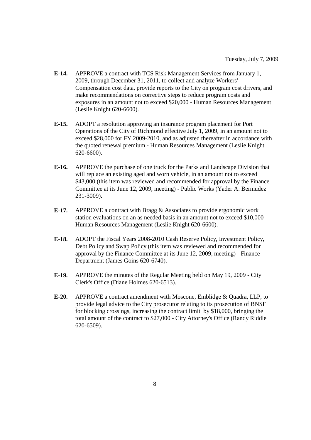- **E-14.** APPROVE a contract with TCS Risk Management Services from January 1, 2009, through December 31, 2011, to collect and analyze Workers' Compensation cost data, provide reports to the City on program cost drivers, and make recommendations on corrective steps to reduce program costs and exposures in an amount not to exceed \$20,000 - Human Resources Management (Leslie Knight 620-6600).
- **E-15.** ADOPT a resolution approving an insurance program placement for Port Operations of the City of Richmond effective July 1, 2009, in an amount not to exceed \$28,000 for FY 2009-2010, and as adjusted thereafter in accordance with the quoted renewal premium - Human Resources Management (Leslie Knight 620-6600).
- **E-16.** APPROVE the purchase of one truck for the Parks and Landscape Division that will replace an existing aged and worn vehicle, in an amount not to exceed \$43,000 (this item was reviewed and recommended for approval by the Finance Committee at its June 12, 2009, meeting) - Public Works (Yader A. Bermudez 231-3009).
- **E-17.** APPROVE a contract with Bragg & Associates to provide ergonomic work station evaluations on an as needed basis in an amount not to exceed \$10,000 - Human Resources Management (Leslie Knight 620-6600).
- **E-18.** ADOPT the Fiscal Years 2008-2010 Cash Reserve Policy, Investment Policy, Debt Policy and Swap Policy (this item was reviewed and recommended for approval by the Finance Committee at its June 12, 2009, meeting) - Finance Department (James Goins 620-6740).
- **E-19.** APPROVE the minutes of the Regular Meeting held on May 19, 2009 City Clerk's Office (Diane Holmes 620-6513).
- **E-20.** APPROVE a contract amendment with Moscone, Emblidge & Quadra, LLP, to provide legal advice to the City prosecutor relating to its prosecution of BNSF for blocking crossings, increasing the contract limit by \$18,000, bringing the total amount of the contract to \$27,000 - City Attorney's Office (Randy Riddle 620-6509).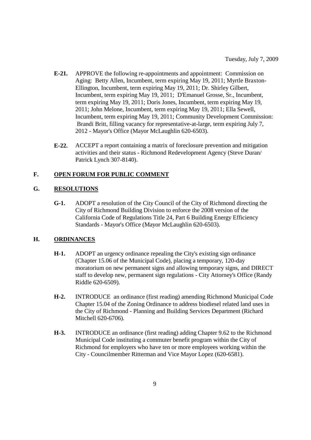- **E-21.** APPROVE the following re-appointments and appointment: Commission on Aging: Betty Allen, Incumbent, term expiring May 19, 2011; Myrtle Braxton-Ellington, Incumbent, term expiring May 19, 2011; Dr. Shirley Gilbert, Incumbent, term expiring May 19, 2011; D'Emanuel Grosse, Sr., Incumbent, term expiring May 19, 2011; Doris Jones, Incumbent, term expiring May 19, 2011; John Melone, Incumbent, term expiring May 19, 2011; Ella Sewell, Incumbent, term expiring May 19, 2011; Community Development Commission: Brandi Britt, filling vacancy for representative-at-large, term expiring July 7, 2012 - Mayor's Office (Mayor McLaughlin 620-6503).
- **E-22.** ACCEPT a report containing a matrix of foreclosure prevention and mitigation activities and their status - Richmond Redevelopment Agency (Steve Duran/ Patrick Lynch 307-8140).

# **F. OPEN FORUM FOR PUBLIC COMMENT**

### **G. RESOLUTIONS**

**G-1.** ADOPT a resolution of the City Council of the City of Richmond directing the City of Richmond Building Division to enforce the 2008 version of the California Code of Regulations Title 24, Part 6 Building Energy Efficiency Standards - Mayor's Office (Mayor McLaughlin 620-6503).

#### **H. ORDINANCES**

- **H-1.** ADOPT an urgency ordinance repealing the City's existing sign ordinance (Chapter 15.06 of the Municipal Code), placing a temporary, 120-day moratorium on new permanent signs and allowing temporary signs, and DIRECT staff to develop new, permanent sign regulations - City Attorney's Office (Randy Riddle 620-6509).
- **H-2.** INTRODUCE an ordinance (first reading) amending Richmond Municipal Code Chapter 15.04 of the Zoning Ordinance to address biodiesel related land uses in the City of Richmond - Planning and Building Services Department (Richard Mitchell 620-6706).
- **H-3.** INTRODUCE an ordinance (first reading) adding Chapter 9.62 to the Richmond Municipal Code instituting a commuter benefit program within the City of Richmond for employers who have ten or more employees working within the City - Councilmember Ritterman and Vice Mayor Lopez (620-6581).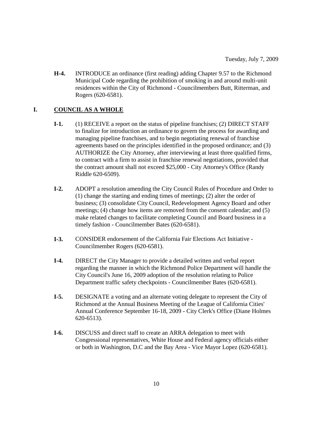**H-4.** INTRODUCE an ordinance (first reading) adding Chapter 9.57 to the Richmond Municipal Code regarding the prohibition of smoking in and around multi-unit residences within the City of Richmond - Councilmembers Butt, Ritterman, and Rogers (620-6581).

# **I. COUNCIL AS A WHOLE**

- **I-1.** (1) RECEIVE a report on the status of pipeline franchises; (2) DIRECT STAFF to finalize for introduction an ordinance to govern the process for awarding and managing pipeline franchises, and to begin negotiating renewal of franchise agreements based on the principles identified in the proposed ordinance; and (3) AUTHORIZE the City Attorney, after interviewing at least three qualified firms, to contract with a firm to assist in franchise renewal negotiations, provided that the contract amount shall not exceed \$25,000 - City Attorney's Office (Randy Riddle 620-6509).
- **I-2.** ADOPT a resolution amending the City Council Rules of Procedure and Order to (1) change the starting and ending times of meetings; (2) alter the order of business; (3) consolidate City Council, Redevelopment Agency Board and other meetings; (4) change how items are removed from the consent calendar; and (5) make related changes to facilitate completing Council and Board business in a timely fashion - Councilmember Bates (620-6581).
- **I-3.** CONSIDER endorsement of the California Fair Elections Act Initiative Councilmember Rogers (620-6581).
- **I-4.** DIRECT the City Manager to provide a detailed written and verbal report regarding the manner in which the Richmond Police Department will handle the City Council's June 16, 2009 adoption of the resolution relating to Police Department traffic safety checkpoints - Councilmember Bates (620-6581).
- **I-5.** DESIGNATE a voting and an alternate voting delegate to represent the City of Richmond at the Annual Business Meeting of the League of California Cities' Annual Conference September 16-18, 2009 - City Clerk's Office (Diane Holmes 620-6513).
- **I-6.** DISCUSS and direct staff to create an ARRA delegation to meet with Congressional representatives, White House and Federal agency officials either or both in Washington, D.C and the Bay Area - Vice Mayor Lopez (620-6581).